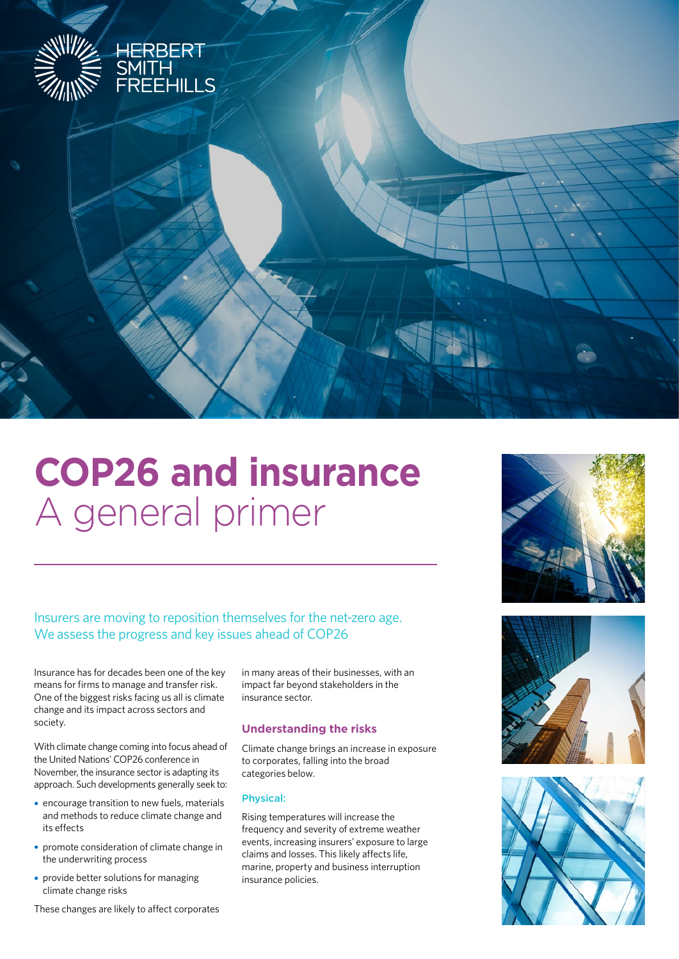

# **COP26 and insurance** A general primer

# Insurers are moving to reposition themselves for the net-zero age. We assess the progress and key issues ahead of COP26

Insurance has for decades been one of the key means for firms to manage and transfer risk. One of the biggest risks facing us all is climate change and its impact across sectors and society.

With climate change coming into focus ahead of the United Nations' COP26 conference in November, the insurance sector is adapting its approach. Such developments generally seek to:

- **•**•encourage transition to new fuels, materials and methods to reduce climate change and its effects
- promote consideration of climate change in the underwriting process
- provide better solutions for managing climate change risks

These changes are likely to affect corporates

in many areas of their businesses, with an impact far beyond stakeholders in the insurance sector.

# **Understanding the risks**

Climate change brings an increase in exposure to corporates, falling into the broad categories below.

## Physical:

Rising temperatures will increase the frequency and severity of extreme weather events, increasing insurers' exposure to large claims and losses. This likely affects life, marine, property and business interruption insurance policies.